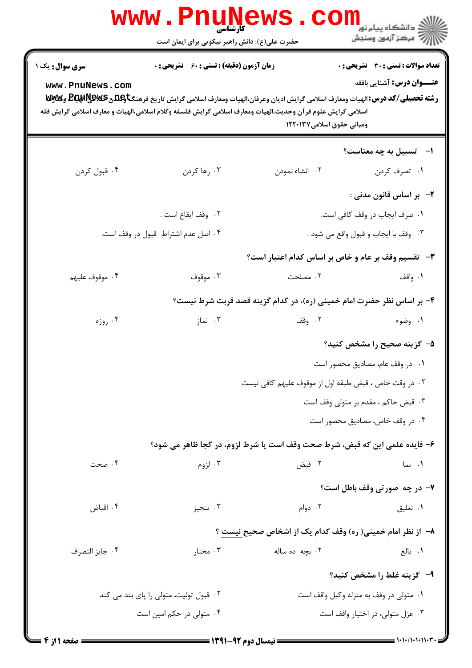|                                           | www . Phi<br><b>کارشناسی</b><br>حضرت علی(ع): دانش راهبر نیکویی برای ایمان است                                                                                                                                                                                                           |                                                                       | ڪ دانشڪاه پيا <sub>م</sub> نور<br><mark>√</mark> مرڪز آزمون وسنڊش                 |
|-------------------------------------------|-----------------------------------------------------------------------------------------------------------------------------------------------------------------------------------------------------------------------------------------------------------------------------------------|-----------------------------------------------------------------------|-----------------------------------------------------------------------------------|
| <b>سری سوال :</b> یک ۱<br>www.PnuNews.com | <b>زمان آزمون (دقیقه) : تستی : 60 ٪ تشریحی : 0</b><br>رشته تحصیلی/کد درس: الهیات ومعارف اسلامی گرایش ادیان وعرفان،الهیات ومعارف اسلامی گرایش تاریخ فرهنگتاویلگی @BRAR وWy<br>اسلامی گرایش علوم قرآن وحدیث،الهیات ومعارف اسلامی گرایش فلسفه وکلام اسلامی،الهیات و معارف اسلامی گرایش فقه | ومبانی حقوق اسلامی۱۲۲۰۱۳۷                                             | <b>تعداد سوالات : تستی : 30 ٪ تشریحی : 0</b><br><b>عنـــوان درس:</b> آشنایی بافقه |
|                                           |                                                                                                                                                                                                                                                                                         |                                                                       | ا-     تسبیل به چه معناست؟                                                        |
| ۰۴ قبول کردن                              | ۰۳ رها کردن                                                                                                                                                                                                                                                                             | ۰۲ انشاء نمودن                                                        | ۰۱ تصرف کردن                                                                      |
|                                           |                                                                                                                                                                                                                                                                                         |                                                                       | ۲-۔بر اساس قانون مدنی :                                                           |
|                                           | ٠٢ وقف ايقاع است .                                                                                                                                                                                                                                                                      |                                                                       | ٠١ صرف ايجاب در وقف كافي است.                                                     |
|                                           | ۰۴ اصل عدم اشتراط قبول در وقف است.                                                                                                                                                                                                                                                      |                                                                       | ٠٣ وقف با ايجاب و قبول واقع مي شود .                                              |
|                                           |                                                                                                                                                                                                                                                                                         | <b>۳</b> - تقسیم وقف بر عام و خاص بر اساس کدام اعتبار است؟            |                                                                                   |
| ۰۴ موقوف عليهم                            | ۰۳ موقوف                                                                                                                                                                                                                                                                                | ۰۲ مصلحت                                                              | ۰۱ واقف                                                                           |
|                                           |                                                                                                                                                                                                                                                                                         | ۴- بر اساس نظر حضرت امام خمینی (ره)، در کدام گزینه قصد قربت شرط نیست؟ |                                                                                   |
| ۰۴ روزه                                   | ۰۳ نماز                                                                                                                                                                                                                                                                                 | ٢. وقف                                                                | ۰۱ وضوء                                                                           |
|                                           |                                                                                                                                                                                                                                                                                         |                                                                       | ۵– گزینه صحیح را مشخص کنید؟                                                       |
|                                           |                                                                                                                                                                                                                                                                                         |                                                                       | ٠١ در وقف عام، مصاديق محصور است                                                   |
|                                           |                                                                                                                                                                                                                                                                                         | ۰۲ در وقت خاص ، قبض طبقه اول از موقوف عليهم كافي نيست                 |                                                                                   |
|                                           |                                                                                                                                                                                                                                                                                         | ۰۳ قبض حاكم ، مقدم بر متولى وقف است                                   |                                                                                   |
|                                           |                                                                                                                                                                                                                                                                                         |                                                                       | ۰۴ در وقف خاص، مصادیق محصور است                                                   |
|                                           | ۶- فایده علمی این که قبض، شرط صحت وقف است یا شرط لزوم، در کجا ظاهر می شود؟                                                                                                                                                                                                              |                                                                       |                                                                                   |
| ۰۴ صحت                                    | ۰۳ لزوم                                                                                                                                                                                                                                                                                 | ۰۲ قبض                                                                | ۰۱ نما                                                                            |
|                                           |                                                                                                                                                                                                                                                                                         |                                                                       | ۷- در چه صورتی وقف باطل است؟                                                      |
| ۰۴ اقباض                                  | ۰۳ تنجيز                                                                                                                                                                                                                                                                                | ۰۲ دوام                                                               | ۰۱ تعليق                                                                          |
|                                           |                                                                                                                                                                                                                                                                                         | ۸– از نظر امام خمینی( ره) وقف کدام یک از اشخاص صحیح نیست ؟            |                                                                                   |
| ۰۴ جايز التصرف                            | ۰۳ مختار                                                                                                                                                                                                                                                                                | ۰۲ بچه ده ساله                                                        | ٠١. بالغ                                                                          |
|                                           |                                                                                                                                                                                                                                                                                         |                                                                       | ۹- گزینه غلط را مشخص کنید؟                                                        |
|                                           | ۰۲ قبول تولیت، متولی را پای بند می کند                                                                                                                                                                                                                                                  |                                                                       | ٠١ متولى در وقف به منزله وكيل واقف است                                            |
|                                           | ۰۴ متولی در حکم امین است                                                                                                                                                                                                                                                                |                                                                       | ۰۳ عزل متولى، در اختيار واقف است                                                  |

 $\blacksquare$  )  $\cdot$  )  $\cdot$  / )  $\cdot$  )  $\cdot$  )  $\cdot$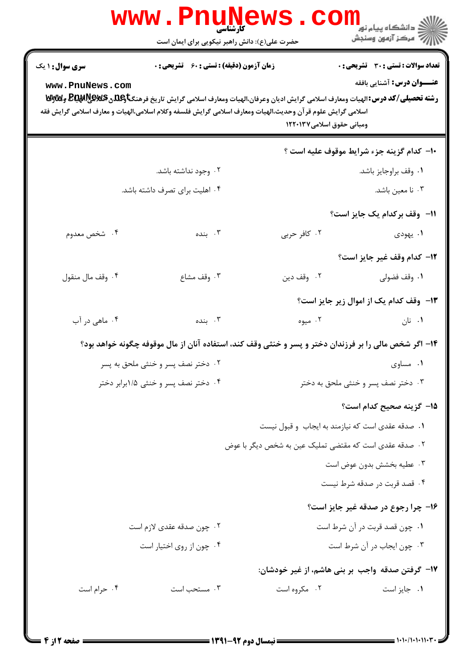| <b>WWW</b>                                | POUN<br>کارشناسی<br>حضرت علی(ع): دانش راهبر نیکویی برای ایمان است                                                                                                                                                                                                                          |                                                        | <mark>ڪ دانشڪاه پيام نور</mark><br>رآ - مرڪز آزمون وسنڊش                          |
|-------------------------------------------|--------------------------------------------------------------------------------------------------------------------------------------------------------------------------------------------------------------------------------------------------------------------------------------------|--------------------------------------------------------|-----------------------------------------------------------------------------------|
| <b>سری سوال :</b> ۱ یک<br>www.PnuNews.com | <b>زمان آزمون (دقیقه) : تستی : 60 ٪ تشریحی : 0</b><br>رشته تحصیلی/کد درس: الهیات ومعارف اسلامی گرایش ادیان وعرفان،الهیات ومعارف اسلامی گرایش تاریخ فرهنگتاویلگی BE وGWA وWy<br>اسلامی گرایش علوم قر آن وحدیث،الهیات ومعارف اسلامی گرایش فلسفه وکلام اسلامی،الهیات و معارف اسلامی گرایش فقه | ومبانی حقوق اسلامی۱۲۲۰۱۳۷                              | <b>تعداد سوالات : تستی : 30 ٪ تشریحی : 0</b><br><b>عنـــوان درس:</b> آشنایی بافقه |
|                                           |                                                                                                                                                                                                                                                                                            |                                                        | ∙ا− كدام گزينه جزء شرايط موقوف عليه است ؟                                         |
|                                           | ۰۲ وجود نداشته باشد.                                                                                                                                                                                                                                                                       |                                                        | ٠١. وقف براوجايز باشد.                                                            |
|                                           | ۰۴ اهلیت برای تصرف داشته باشد.                                                                                                                                                                                                                                                             |                                                        | ۰۳ نا معین باشد.                                                                  |
|                                           |                                                                                                                                                                                                                                                                                            |                                                        | 11–۔وقف برکدام یک جایز است؟                                                       |
| ۰۴ شخص معدوم                              | ۰۳ بنده                                                                                                                                                                                                                                                                                    | ۰۲ کافر حربی                                           | ۱. يهودي                                                                          |
|                                           |                                                                                                                                                                                                                                                                                            |                                                        | 1۲– كدام وقف غير جايز است؟                                                        |
| ۰۴ وقف مال منقول                          | ۰۳ وقف مشاع                                                                                                                                                                                                                                                                                | ۰۲ وقف دين                                             | ۰۱ وقف فضولی                                                                      |
|                                           |                                                                                                                                                                                                                                                                                            |                                                        | ۱۳- وقف کدام یک از اموال زیر جایز است؟                                            |
| ۰۴ ماهی در آب                             | ۰۳ بنده                                                                                                                                                                                                                                                                                    | ۰۲ میوه                                                | ۰۱ نان                                                                            |
|                                           | ۱۴– اگر شخص مالی را بر فرزندان دختر و پسر و خنثی وقف کند، استفاده آنان از مال موقوفه چگونه خواهد بود؟                                                                                                                                                                                      |                                                        |                                                                                   |
|                                           | ۰۲ دختر نصف پسر و خنثی ملحق به پسر                                                                                                                                                                                                                                                         |                                                        | ۰۱ مساوی                                                                          |
|                                           | ۰۴ دختر نصف پسر و خنثی ۱/۵برابر دختر                                                                                                                                                                                                                                                       |                                                        | ۰۳ دختر نصف پسر و خنثی ملحق به دختر                                               |
|                                           |                                                                                                                                                                                                                                                                                            |                                                        | 1۵– گزینه صحیح کدام است؟                                                          |
|                                           |                                                                                                                                                                                                                                                                                            | ٠١ صدقه عقدي است كه نيازمند به ايجاب و قبول نيست       |                                                                                   |
|                                           |                                                                                                                                                                                                                                                                                            | ۰۲ صدقه عقدی است که مقتضی تملیک عین به شخص دیگر با عوض |                                                                                   |
|                                           |                                                                                                                                                                                                                                                                                            |                                                        | ٠٣ عطيه بخشش بدون عوض است                                                         |
|                                           |                                                                                                                                                                                                                                                                                            |                                                        | ۰۴ قصد قربت در صدقه شرط نیست                                                      |
|                                           |                                                                                                                                                                                                                                                                                            |                                                        | ۱۶- چرا رجوع در صدقه غیر جایز است؟                                                |
|                                           | ۰۲ چون صدقه عقدی لازم است                                                                                                                                                                                                                                                                  |                                                        | ٠١ چون قصد قربت در آن شرط است                                                     |
|                                           | ۰۴ چون از روی اختیار است                                                                                                                                                                                                                                                                   |                                                        | ۰۳ چون ایجاب در آن شرط است                                                        |
|                                           |                                                                                                                                                                                                                                                                                            |                                                        | 17- گرفتن صدقه واجب بر بنی هاشم، از غیر خودشان:                                   |
| ۰۴ حرام است                               | ۰۳ مستحب است                                                                                                                                                                                                                                                                               | ۰۲ مکروه است                                           | ٠١ جايز است                                                                       |
|                                           |                                                                                                                                                                                                                                                                                            |                                                        |                                                                                   |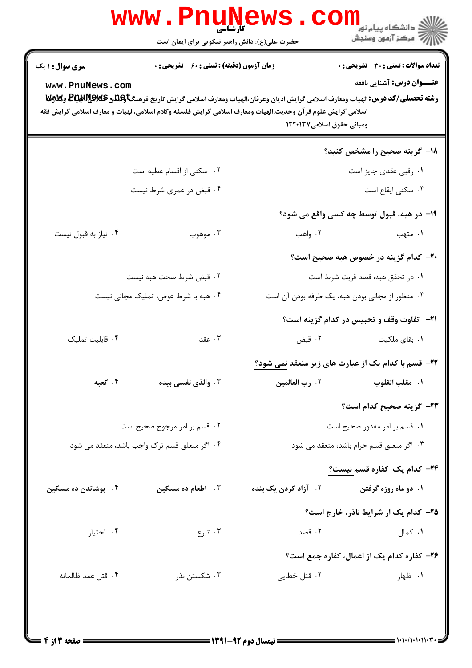|                                           | <b>WWW.FNUN</b><br><b>کارشناسی</b><br>حضرت علی(ع): دانش راهبر نیکویی برای ایمان است                                                                                                                                                                                                        |                                  | $\ge$ دانشگاه پیام نور<br>أأأ مركز آزمون وسنجش                                    |
|-------------------------------------------|--------------------------------------------------------------------------------------------------------------------------------------------------------------------------------------------------------------------------------------------------------------------------------------------|----------------------------------|-----------------------------------------------------------------------------------|
| <b>سری سوال : ۱ یک</b><br>www.PnuNews.com | <b>زمان آزمون (دقیقه) : تستی : 60 ٪ تشریحی : 0</b><br>رشته تحصیلی/کد درس: الهیات ومعارف اسلامی گرایش ادیان وعرفان،الهیات ومعارف اسلامی گرایش تاریخ فرهنگتاویلگی BE وGWA وWy<br>اسلامی گرایش علوم قر آن وحدیث،الهیات ومعارف اسلامی گرایش فلسفه وکلام اسلامی،الهیات و معارف اسلامی گرایش فقه | ومبانی حقوق اسلامی۱۲۲۰۱۳۷        | <b>تعداد سوالات : تستی : 30 ٪ تشریحی : 0</b><br><b>عنـــوان درس:</b> آشنایی بافقه |
|                                           |                                                                                                                                                                                                                                                                                            |                                  | ۱۸– گزینه صحیح را مشخص کنید؟                                                      |
|                                           | ۰۲ سکنی از اقسام عطیه است                                                                                                                                                                                                                                                                  |                                  | ۰۱ رقبی عقدی جایز است                                                             |
|                                           | ۰۴ قبض در عمری شرط نیست                                                                                                                                                                                                                                                                    |                                  | ۰۳ سکنی ایقاع است                                                                 |
|                                           |                                                                                                                                                                                                                                                                                            |                                  | ۱۹– در هبه، قبول توسط چه کسی واقع می شود؟                                         |
| ۰۴ نیاز به قبول نیست                      | ۰۳ موهوب                                                                                                                                                                                                                                                                                   | ۰۲ واهب                          | ۰۱ متهب                                                                           |
|                                           |                                                                                                                                                                                                                                                                                            |                                  | ۲۰– کدام گزینه در خصوص هبه صحیح است؟                                              |
|                                           | ٢. قبض شرط صحت هبه نيست                                                                                                                                                                                                                                                                    |                                  | ۰۱ در تحقق هبه، قصد قربت شرط است                                                  |
|                                           | ۰۴ هبه با شرط عوض، تملیک مجانی نیست                                                                                                                                                                                                                                                        |                                  | ۰۳ منظور از مجانی بودن هبه، یک طرفه بودن آن است                                   |
|                                           |                                                                                                                                                                                                                                                                                            |                                  | <b>21</b> - تفاوت وقف و تحبیس در کدام گزینه است؟                                  |
| ۰۴ قابلیت تملیک                           | ۰۳ عقد                                                                                                                                                                                                                                                                                     | ۰۲ قبض                           | ۰۱ بقای ملکیت                                                                     |
|                                           |                                                                                                                                                                                                                                                                                            |                                  | <b>۲۲</b> - قسم با کدام یک از عبارت های زیر منعقد <u>نمی شود؟</u>                 |
| ۰۴ کعبه                                   | ۰۳ والذی نفسی بیده                                                                                                                                                                                                                                                                         | ۰۲ رب العالمين                   | ١.  مقلب القلوب                                                                   |
|                                           |                                                                                                                                                                                                                                                                                            |                                  | ۲۳– گزینه صحیح کدام است؟                                                          |
|                                           | ۰۲ قسم بر امر مرجوح صحیح است                                                                                                                                                                                                                                                               |                                  | ۰۱ قسم بر امر مقدور صحیح است                                                      |
|                                           | ۰۴ اگر متعلق قسم ترک واجب باشد، منعقد می شود                                                                                                                                                                                                                                               |                                  | ۰۳ اگر متعلق قسم حرام باشد، منعقد می شود                                          |
|                                           |                                                                                                                                                                                                                                                                                            |                                  | <b>۲۴</b> – کدام یک کفاره قسم نیست؟                                               |
| ۰۴ پوشاندن ده مسکین                       | ۰۳ اطعام ده مسکین                                                                                                                                                                                                                                                                          | ۰ <sup>۲</sup> آزاد کردن یک بنده | ۱. دو ماه روزه گرفتن                                                              |
|                                           |                                                                                                                                                                                                                                                                                            |                                  | ۲۵– کدام یک از شرایط ناذر، خارج است؟                                              |
| ۰۴ اختیار                                 | ۰۳ تبرع                                                                                                                                                                                                                                                                                    | ۰۲ قصد                           | ۰۱ کمال                                                                           |
|                                           |                                                                                                                                                                                                                                                                                            |                                  | ۲۶- کفاره کدام یک از اعمال، کفاره جمع است؟                                        |
| ۰۴ قتل عمد ظالمانه                        | ۰۳ شکستن نذر                                                                                                                                                                                                                                                                               | ۰۲ قتل خطایی                     | ۰۱ ظهار                                                                           |
|                                           |                                                                                                                                                                                                                                                                                            |                                  |                                                                                   |